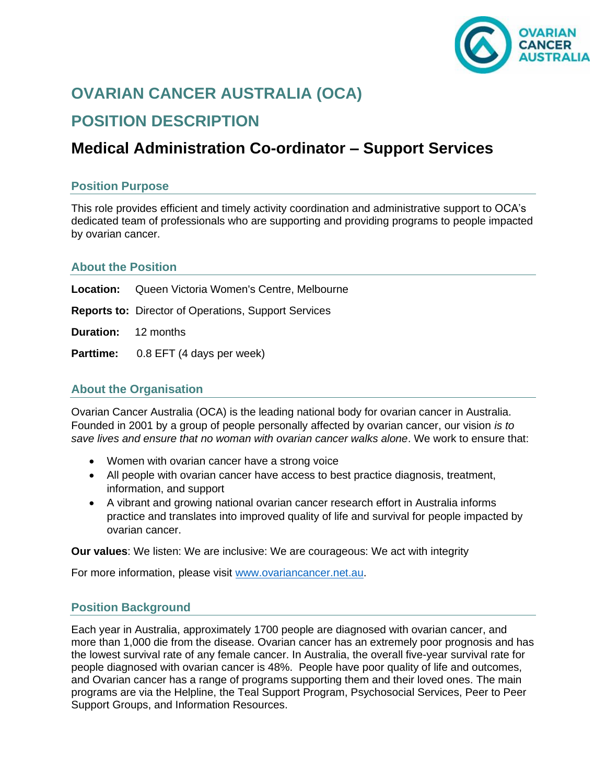

# **OVARIAN CANCER AUSTRALIA (OCA) POSITION DESCRIPTION**

## **Medical Administration Co-ordinator – Support Services**

## **Position Purpose**

This role provides efficient and timely activity coordination and administrative support to OCA's dedicated team of professionals who are supporting and providing programs to people impacted by ovarian cancer.

## **About the Position**

|                            | <b>Location:</b> Queen Victoria Women's Centre, Melbourne   |
|----------------------------|-------------------------------------------------------------|
|                            | <b>Reports to: Director of Operations, Support Services</b> |
| <b>Duration:</b> 12 months |                                                             |
|                            | <b>Parttime:</b> 0.8 EFT (4 days per week)                  |

## **About the Organisation**

Ovarian Cancer Australia (OCA) is the leading national body for ovarian cancer in Australia. Founded in 2001 by a group of people personally affected by ovarian cancer, our vision *is to save lives and ensure that no woman with ovarian cancer walks alone*. We work to ensure that:

- Women with ovarian cancer have a strong voice
- All people with ovarian cancer have access to best practice diagnosis, treatment, information, and support
- A vibrant and growing national ovarian cancer research effort in Australia informs practice and translates into improved quality of life and survival for people impacted by ovarian cancer.

**Our values**: We listen: We are inclusive: We are courageous: We act with integrity

For more information, please visit [www.ovariancancer.net.au.](http://www.ovariancancer.net.au/)

## **Position Background**

Each year in Australia, approximately 1700 people are diagnosed with ovarian cancer, and more than 1,000 die from the disease. Ovarian cancer has an extremely poor prognosis and has the lowest survival rate of any female cancer. In Australia, the overall five-year survival rate for people diagnosed with ovarian cancer is 48%. People have poor quality of life and outcomes, and Ovarian cancer has a range of programs supporting them and their loved ones. The main programs are via the Helpline, the Teal Support Program, Psychosocial Services, Peer to Peer Support Groups, and Information Resources.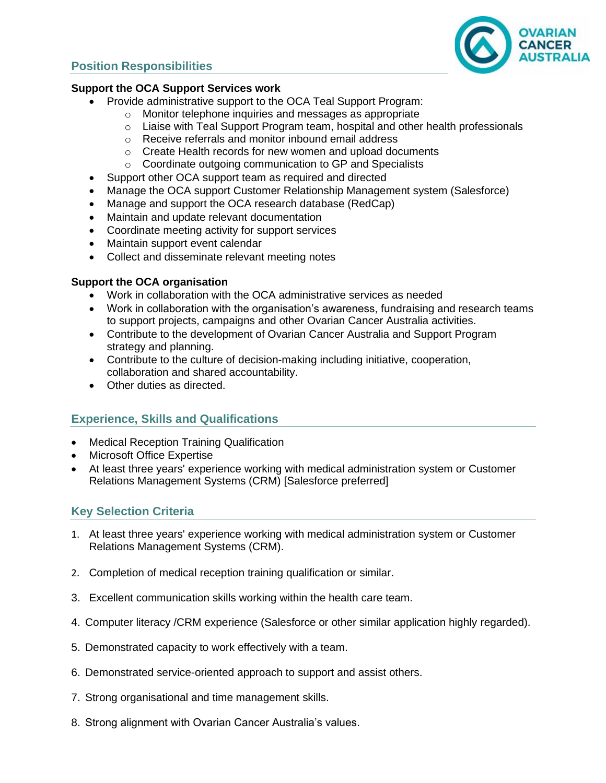## **Position Responsibilities**



#### **Support the OCA Support Services work**

- Provide administrative support to the OCA Teal Support Program:
	- o Monitor telephone inquiries and messages as appropriate
	- o Liaise with Teal Support Program team, hospital and other health professionals
	- o Receive referrals and monitor inbound email address
	- o Create Health records for new women and upload documents
	- o Coordinate outgoing communication to GP and Specialists
- Support other OCA support team as required and directed
- Manage the OCA support Customer Relationship Management system (Salesforce)
- Manage and support the OCA research database (RedCap)
- Maintain and update relevant documentation
- Coordinate meeting activity for support services
- Maintain support event calendar
- Collect and disseminate relevant meeting notes

## **Support the OCA organisation**

- Work in collaboration with the OCA administrative services as needed
- Work in collaboration with the organisation's awareness, fundraising and research teams to support projects, campaigns and other Ovarian Cancer Australia activities.
- Contribute to the development of Ovarian Cancer Australia and Support Program strategy and planning.
- Contribute to the culture of decision-making including initiative, cooperation, collaboration and shared accountability.
- Other duties as directed.

## **Experience, Skills and Qualifications**

- Medical Reception Training Qualification
- Microsoft Office Expertise
- At least three years' experience working with medical administration system or Customer Relations Management Systems (CRM) [Salesforce preferred]

## **Key Selection Criteria**

- 1. At least three years' experience working with medical administration system or Customer Relations Management Systems (CRM).
- 2. Completion of medical reception training qualification or similar.
- 3. Excellent communication skills working within the health care team.
- 4. Computer literacy /CRM experience (Salesforce or other similar application highly regarded).
- 5. Demonstrated capacity to work effectively with a team.
- 6. Demonstrated service-oriented approach to support and assist others.
- 7. Strong organisational and time management skills.
- 8. Strong alignment with Ovarian Cancer Australia's values.